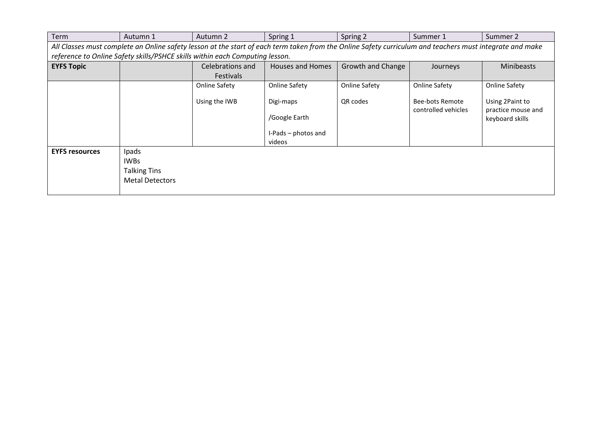| Term                  | Autumn 1                                                              | Autumn 2                                                                     | Spring 1                                                                                                                                                 | Spring 2                 | Summer 1                                      | Summer 2                                                 |
|-----------------------|-----------------------------------------------------------------------|------------------------------------------------------------------------------|----------------------------------------------------------------------------------------------------------------------------------------------------------|--------------------------|-----------------------------------------------|----------------------------------------------------------|
|                       |                                                                       |                                                                              | All Classes must complete an Online safety lesson at the start of each term taken from the Online Safety curriculum and teachers must integrate and make |                          |                                               |                                                          |
|                       |                                                                       | reference to Online Safety skills/PSHCE skills within each Computing lesson. |                                                                                                                                                          |                          |                                               |                                                          |
| <b>EYFS Topic</b>     |                                                                       | Celebrations and                                                             | <b>Houses and Homes</b>                                                                                                                                  | <b>Growth and Change</b> | Journeys                                      | <b>Minibeasts</b>                                        |
|                       |                                                                       | <b>Festivals</b>                                                             |                                                                                                                                                          |                          |                                               |                                                          |
|                       |                                                                       | <b>Online Safety</b>                                                         | Online Safety                                                                                                                                            | Online Safety            | <b>Online Safety</b>                          | Online Safety                                            |
|                       |                                                                       | Using the IWB                                                                | Digi-maps<br>/Google Earth<br>I-Pads - photos and<br>videos                                                                                              | QR codes                 | <b>Bee-bots Remote</b><br>controlled vehicles | Using 2Paint to<br>practice mouse and<br>keyboard skills |
| <b>EYFS resources</b> | Ipads<br><b>IWBs</b><br><b>Talking Tins</b><br><b>Metal Detectors</b> |                                                                              |                                                                                                                                                          |                          |                                               |                                                          |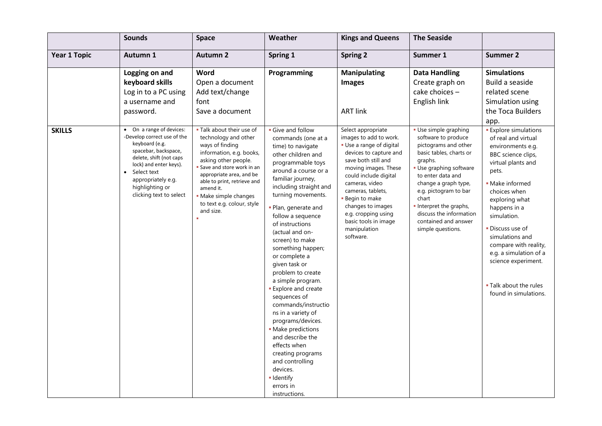|                     | <b>Sounds</b>                                                                                                                                                             | Space                                                                                                                                                                                                                                        | Weather                                                                                                                                                                                                                                                                                                                                                                                                                                                                                                                                                                                                                                                | <b>Kings and Queens</b>                                                                                                                                                                                                                                                                  | <b>The Seaside</b>                                                                                                                                                                                                                                                  |                                                                                                                                                                                                                                                                                                                                |
|---------------------|---------------------------------------------------------------------------------------------------------------------------------------------------------------------------|----------------------------------------------------------------------------------------------------------------------------------------------------------------------------------------------------------------------------------------------|--------------------------------------------------------------------------------------------------------------------------------------------------------------------------------------------------------------------------------------------------------------------------------------------------------------------------------------------------------------------------------------------------------------------------------------------------------------------------------------------------------------------------------------------------------------------------------------------------------------------------------------------------------|------------------------------------------------------------------------------------------------------------------------------------------------------------------------------------------------------------------------------------------------------------------------------------------|---------------------------------------------------------------------------------------------------------------------------------------------------------------------------------------------------------------------------------------------------------------------|--------------------------------------------------------------------------------------------------------------------------------------------------------------------------------------------------------------------------------------------------------------------------------------------------------------------------------|
| <b>Year 1 Topic</b> | Autumn 1                                                                                                                                                                  | <b>Autumn 2</b>                                                                                                                                                                                                                              | Spring 1                                                                                                                                                                                                                                                                                                                                                                                                                                                                                                                                                                                                                                               | <b>Spring 2</b>                                                                                                                                                                                                                                                                          | Summer 1                                                                                                                                                                                                                                                            | <b>Summer 2</b>                                                                                                                                                                                                                                                                                                                |
| <b>SKILLS</b>       | Logging on and<br>keyboard skills<br>Log in to a PC using<br>a username and<br>password.<br>On a range of devices:<br>-Develop correct use of the<br>keyboard (e.g.       | Word<br>Open a document<br>Add text/change<br>font<br>Save a document<br>. Talk about their use of<br>technology and other                                                                                                                   | Programming<br>Give and follow<br>commands (one at a                                                                                                                                                                                                                                                                                                                                                                                                                                                                                                                                                                                                   | <b>Manipulating</b><br><b>Images</b><br><b>ART link</b><br>Select appropriate<br>images to add to work.                                                                                                                                                                                  | <b>Data Handling</b><br>Create graph on<br>cake choices -<br>English link<br>· Use simple graphing<br>software to produce                                                                                                                                           | <b>Simulations</b><br>Build a seaside<br>related scene<br>Simulation using<br>the Toca Builders<br>app.<br><b>Explore simulations</b><br>of real and virtual                                                                                                                                                                   |
|                     | spacebar, backspace,<br>delete, shift (not caps<br>lock) and enter keys).<br>Select text<br>$\bullet$<br>appropriately e.g.<br>highlighting or<br>clicking text to select | ways of finding<br>information, e.g. books,<br>asking other people.<br>Save and store work in an<br>appropriate area, and be<br>able to print, retrieve and<br>amend it.<br>· Make simple changes<br>to text e.g. colour, style<br>and size. | time) to navigate<br>other children and<br>programmable toys<br>around a course or a<br>familiar journey,<br>including straight and<br>turning movements.<br>- Plan, generate and<br>follow a sequence<br>of instructions<br>(actual and on-<br>screen) to make<br>something happen;<br>or complete a<br>given task or<br>problem to create<br>a simple program.<br><b>Explore and create</b><br>sequences of<br>commands/instructio<br>ns in a variety of<br>programs/devices.<br>· Make predictions<br>and describe the<br>effects when<br>creating programs<br>and controlling<br>devices.<br>$\blacksquare$ Identify<br>errors in<br>instructions. | Use a range of digital<br>devices to capture and<br>save both still and<br>moving images. These<br>could include digital<br>cameras, video<br>cameras, tablets,<br><b>Begin to make</b><br>changes to images<br>e.g. cropping using<br>basic tools in image<br>manipulation<br>software. | pictograms and other<br>basic tables, charts or<br>graphs.<br>Use graphing software<br>to enter data and<br>change a graph type,<br>e.g. pictogram to bar<br>chart<br>Interpret the graphs,<br>discuss the information<br>contained and answer<br>simple questions. | environments e.g.<br>BBC science clips,<br>virtual plants and<br>pets.<br>• Make informed<br>choices when<br>exploring what<br>happens in a<br>simulation.<br>• Discuss use of<br>simulations and<br>compare with reality,<br>e.g. a simulation of a<br>science experiment.<br>. Talk about the rules<br>found in simulations. |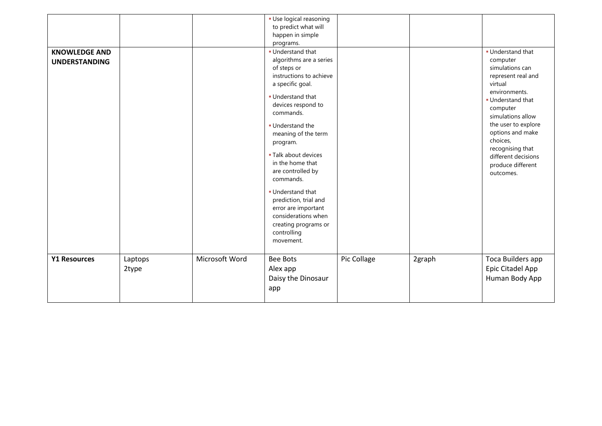| <b>KNOWLEDGE AND</b><br><b>UNDERSTANDING</b> |                  |                | · Use logical reasoning<br>to predict what will<br>happen in simple<br>programs.<br><b>Understand that</b><br>algorithms are a series<br>of steps or<br>instructions to achieve<br>a specific goal.<br><b>Understand that</b><br>devices respond to<br>commands.<br>· Understand the<br>meaning of the term<br>program.<br><b>- Talk about devices</b><br>in the home that<br>are controlled by<br>commands.<br><b>Understand that</b><br>prediction, trial and<br>error are important<br>considerations when<br>creating programs or<br>controlling<br>movement. |             |        | <b>Understand that</b><br>computer<br>simulations can<br>represent real and<br>virtual<br>environments.<br><b>Understand that</b><br>computer<br>simulations allow<br>the user to explore<br>options and make<br>choices,<br>recognising that<br>different decisions<br>produce different<br>outcomes. |
|----------------------------------------------|------------------|----------------|-------------------------------------------------------------------------------------------------------------------------------------------------------------------------------------------------------------------------------------------------------------------------------------------------------------------------------------------------------------------------------------------------------------------------------------------------------------------------------------------------------------------------------------------------------------------|-------------|--------|--------------------------------------------------------------------------------------------------------------------------------------------------------------------------------------------------------------------------------------------------------------------------------------------------------|
| <b>Y1 Resources</b>                          | Laptops<br>2type | Microsoft Word | <b>Bee Bots</b><br>Alex app<br>Daisy the Dinosaur<br>app                                                                                                                                                                                                                                                                                                                                                                                                                                                                                                          | Pic Collage | 2graph | Toca Builders app<br>Epic Citadel App<br>Human Body App                                                                                                                                                                                                                                                |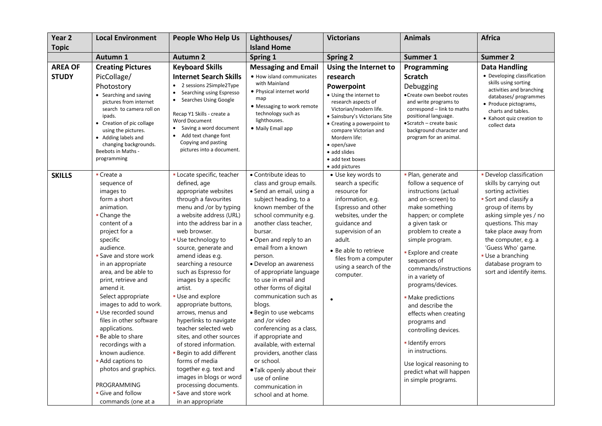| Year <sub>2</sub>              | <b>Local Environment</b>                                                                                                                                                                                                                                                                                                                                                                                                                                                                                                                                            | <b>People Who Help Us</b>                                                                                                                                                                                                                                                                                                                                                                                                                                                                                                                                                                                                                                                                                 | Lighthouses/                                                                                                                                                                                                                                                                                                                                                                                                                                                                                                                                                                                                                                               | <b>Victorians</b>                                                                                                                                                                                                                                                                                         | <b>Animals</b>                                                                                                                                                                                                                                                                                                                                                                                                                                                                                                                                   | <b>Africa</b>                                                                                                                                                                                                                                                                                                      |
|--------------------------------|---------------------------------------------------------------------------------------------------------------------------------------------------------------------------------------------------------------------------------------------------------------------------------------------------------------------------------------------------------------------------------------------------------------------------------------------------------------------------------------------------------------------------------------------------------------------|-----------------------------------------------------------------------------------------------------------------------------------------------------------------------------------------------------------------------------------------------------------------------------------------------------------------------------------------------------------------------------------------------------------------------------------------------------------------------------------------------------------------------------------------------------------------------------------------------------------------------------------------------------------------------------------------------------------|------------------------------------------------------------------------------------------------------------------------------------------------------------------------------------------------------------------------------------------------------------------------------------------------------------------------------------------------------------------------------------------------------------------------------------------------------------------------------------------------------------------------------------------------------------------------------------------------------------------------------------------------------------|-----------------------------------------------------------------------------------------------------------------------------------------------------------------------------------------------------------------------------------------------------------------------------------------------------------|--------------------------------------------------------------------------------------------------------------------------------------------------------------------------------------------------------------------------------------------------------------------------------------------------------------------------------------------------------------------------------------------------------------------------------------------------------------------------------------------------------------------------------------------------|--------------------------------------------------------------------------------------------------------------------------------------------------------------------------------------------------------------------------------------------------------------------------------------------------------------------|
| <b>Topic</b>                   |                                                                                                                                                                                                                                                                                                                                                                                                                                                                                                                                                                     |                                                                                                                                                                                                                                                                                                                                                                                                                                                                                                                                                                                                                                                                                                           | <b>Island Home</b>                                                                                                                                                                                                                                                                                                                                                                                                                                                                                                                                                                                                                                         |                                                                                                                                                                                                                                                                                                           |                                                                                                                                                                                                                                                                                                                                                                                                                                                                                                                                                  |                                                                                                                                                                                                                                                                                                                    |
|                                | Autumn 1                                                                                                                                                                                                                                                                                                                                                                                                                                                                                                                                                            | <b>Autumn 2</b>                                                                                                                                                                                                                                                                                                                                                                                                                                                                                                                                                                                                                                                                                           | Spring 1                                                                                                                                                                                                                                                                                                                                                                                                                                                                                                                                                                                                                                                   | <b>Spring 2</b>                                                                                                                                                                                                                                                                                           | Summer 1                                                                                                                                                                                                                                                                                                                                                                                                                                                                                                                                         | <b>Summer 2</b>                                                                                                                                                                                                                                                                                                    |
| <b>AREA OF</b><br><b>STUDY</b> | <b>Creating Pictures</b><br>PicCollage/<br>Photostory<br>• Searching and saving<br>pictures from internet<br>search to camera roll on<br>ipads.<br>• Creation of pic collage<br>using the pictures.<br>• Adding labels and<br>changing backgrounds.<br>Beebots in Maths -<br>programming                                                                                                                                                                                                                                                                            | <b>Keyboard Skills</b><br><b>Internet Search Skills</b><br>• 2 sessions 2Simple2Type<br>Searching using Espresso<br>Searches Using Google<br>Recap Y1 Skills - create a<br><b>Word Document</b><br>• Saving a word document<br>• Add text change font<br>Copying and pasting<br>pictures into a document.                                                                                                                                                                                                                                                                                                                                                                                                 | <b>Messaging and Email</b><br>• How island communicates<br>with Mainland<br>• Physical internet world<br>map<br>• Messaging to work remote<br>technology such as<br>lighthouses.<br>· Maily Email app                                                                                                                                                                                                                                                                                                                                                                                                                                                      | Using the Internet to<br>research<br>Powerpoint<br>• Using the internet to<br>research aspects of<br>Victorian/modern life.<br>· Sainsbury's Victorians Site<br>• Creating a powerpoint to<br>compare Victorian and<br>Mordern life:<br>• open/save<br>• add slides<br>• add text boxes<br>• add pictures | Programming<br><b>Scratch</b><br>Debugging<br>• Create own beebot routes<br>and write programs to<br>correspond - link to maths<br>positional language.<br>• Scratch – create basic<br>background character and<br>program for an animal.                                                                                                                                                                                                                                                                                                        | <b>Data Handling</b><br>• Developing classification<br>skills using sorting<br>activities and branching<br>databases/ programmes<br>• Produce pictograms,<br>charts and tables.<br>• Kahoot quiz creation to<br>collect data                                                                                       |
| <b>SKILLS</b>                  | $\blacksquare$ Create a<br>sequence of<br>images to<br>form a short<br>animation.<br>• Change the<br>content of a<br>project for a<br>specific<br>audience.<br><b>- Save and store work</b><br>in an appropriate<br>area, and be able to<br>print, retrieve and<br>amend it.<br>Select appropriate<br>images to add to work.<br>- Use recorded sound<br>files in other software<br>applications.<br>. Be able to share<br>recordings with a<br>known audience.<br>• Add captions to<br>photos and graphics.<br>PROGRAMMING<br>Give and follow<br>commands (one at a | · Locate specific, teacher<br>defined, age<br>appropriate websites<br>through a favourites<br>menu and /or by typing<br>a website address (URL)<br>into the address bar in a<br>web browser.<br>· Use technology to<br>source, generate and<br>amend ideas e.g.<br>searching a resource<br>such as Espresso for<br>images by a specific<br>artist.<br><b>Use and explore</b><br>appropriate buttons,<br>arrows, menus and<br>hyperlinks to navigate<br>teacher selected web<br>sites, and other sources<br>of stored information.<br>- Begin to add different<br>forms of media<br>together e.g. text and<br>images in blogs or word<br>processing documents.<br>Save and store work<br>in an appropriate | • Contribute ideas to<br>class and group emails.<br>• Send an email, using a<br>subject heading, to a<br>known member of the<br>school community e.g.<br>another class teacher,<br>bursar.<br>• Open and reply to an<br>email from a known<br>person.<br>• Develop an awareness<br>of appropriate language<br>to use in email and<br>other forms of digital<br>communication such as<br>blogs.<br>• Begin to use webcams<br>and /or video<br>conferencing as a class,<br>if appropriate and<br>available, with external<br>providers, another class<br>or school.<br>. Talk openly about their<br>use of online<br>communication in<br>school and at home. | • Use key words to<br>search a specific<br>resource for<br>information, e.g.<br>Espresso and other<br>websites, under the<br>guidance and<br>supervision of an<br>adult.<br>• Be able to retrieve<br>files from a computer<br>using a search of the<br>computer.                                          | · Plan, generate and<br>follow a sequence of<br>instructions (actual<br>and on-screen) to<br>make something<br>happen; or complete<br>a given task or<br>problem to create a<br>simple program.<br><b>Explore and create</b><br>sequences of<br>commands/instructions<br>in a variety of<br>programs/devices.<br>• Make predictions<br>and describe the<br>effects when creating<br>programs and<br>controlling devices.<br>- Identify errors<br>in instructions.<br>Use logical reasoning to<br>predict what will happen<br>in simple programs. | · Develop classification<br>skills by carrying out<br>sorting activities<br>Sort and classify a<br>group of items by<br>asking simple yes / no<br>questions. This may<br>take place away from<br>the computer, e.g. a<br>'Guess Who' game.<br>· Use a branching<br>database program to<br>sort and identify items. |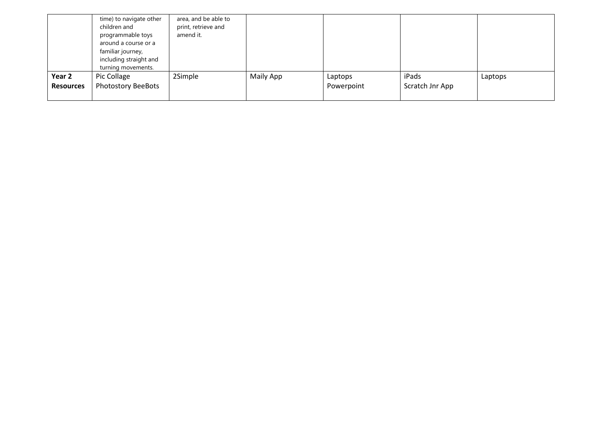|                  | time) to navigate other<br>children and<br>programmable toys<br>around a course or a<br>familiar journey,<br>including straight and<br>turning movements. | area, and be able to<br>print, retrieve and<br>amend it. |           |            |                 |         |
|------------------|-----------------------------------------------------------------------------------------------------------------------------------------------------------|----------------------------------------------------------|-----------|------------|-----------------|---------|
| Year 2           | Pic Collage                                                                                                                                               | 2Simple                                                  | Maily App | Laptops    | iPads           | Laptops |
| <b>Resources</b> | <b>Photostory BeeBots</b>                                                                                                                                 |                                                          |           | Powerpoint | Scratch Jnr App |         |
|                  |                                                                                                                                                           |                                                          |           |            |                 |         |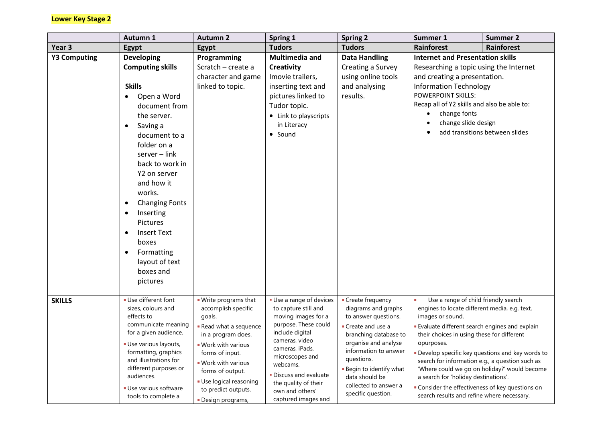## **Lower Key Stage 2**

| <b>Autumn 1</b>     |                                                                                                                                                                                                                                                                                                                                                                                                                                                                     | <b>Autumn 2</b>                                                                                                                                                                                                                                                      | Spring 1                                                                                                                                                                                                                                                                         | <b>Spring 2</b>                                                                                                                                                                                                                                                                 | Summer 1                                                                                                                                                                                                                                                                                                                                                                                                                   | <b>Summer 2</b>                                                                                 |
|---------------------|---------------------------------------------------------------------------------------------------------------------------------------------------------------------------------------------------------------------------------------------------------------------------------------------------------------------------------------------------------------------------------------------------------------------------------------------------------------------|----------------------------------------------------------------------------------------------------------------------------------------------------------------------------------------------------------------------------------------------------------------------|----------------------------------------------------------------------------------------------------------------------------------------------------------------------------------------------------------------------------------------------------------------------------------|---------------------------------------------------------------------------------------------------------------------------------------------------------------------------------------------------------------------------------------------------------------------------------|----------------------------------------------------------------------------------------------------------------------------------------------------------------------------------------------------------------------------------------------------------------------------------------------------------------------------------------------------------------------------------------------------------------------------|-------------------------------------------------------------------------------------------------|
| Year <sub>3</sub>   | <b>Egypt</b>                                                                                                                                                                                                                                                                                                                                                                                                                                                        | Egypt                                                                                                                                                                                                                                                                | <b>Tudors</b>                                                                                                                                                                                                                                                                    | <b>Tudors</b>                                                                                                                                                                                                                                                                   | Rainforest                                                                                                                                                                                                                                                                                                                                                                                                                 | Rainforest                                                                                      |
| <b>Y3 Computing</b> | <b>Developing</b><br><b>Computing skills</b><br><b>Skills</b><br>Open a Word<br>$\bullet$<br>document from<br>the server.<br>Saving a<br>$\bullet$<br>document to a<br>folder on a<br>server - link<br>back to work in<br>Y2 on server<br>and how it<br>works.<br><b>Changing Fonts</b><br>$\bullet$<br>Inserting<br>$\bullet$<br><b>Pictures</b><br><b>Insert Text</b><br>$\bullet$<br>boxes<br>Formatting<br>$\bullet$<br>layout of text<br>boxes and<br>pictures | Programming<br>Scratch - create a<br>character and game<br>linked to topic.                                                                                                                                                                                          | Multimedia and<br><b>Creativity</b><br>Imovie trailers,<br>inserting text and<br>pictures linked to<br>Tudor topic.<br>• Link to playscripts<br>in Literacy<br>• Sound                                                                                                           | <b>Data Handling</b><br>Creating a Survey<br>using online tools<br>and analysing<br>results.                                                                                                                                                                                    | <b>Internet and Presentation skills</b><br>Researching a topic using the Internet<br>and creating a presentation.<br><b>Information Technology</b><br><b>POWERPOINT SKILLS:</b><br>Recap all of Y2 skills and also be able to:<br>change fonts<br>change slide design                                                                                                                                                      | add transitions between slides                                                                  |
| <b>SKILLS</b>       | Use different font<br>sizes, colours and<br>effects to<br>communicate meaning<br>for a given audience.<br>Use various layouts,<br>formatting, graphics<br>and illustrations for<br>different purposes or<br>audiences.<br>Use various software<br>tools to complete a                                                                                                                                                                                               | . Write programs that<br>accomplish specific<br>goals.<br>Read what a sequence<br>in a program does.<br>. Work with various<br>forms of input.<br><b>Work with various</b><br>forms of output.<br>Use logical reasoning<br>to predict outputs.<br>• Design programs, | Use a range of devices<br>to capture still and<br>moving images for a<br>purpose. These could<br>include digital<br>cameras, video<br>cameras, iPads,<br>microscopes and<br>webcams.<br>- Discuss and evaluate<br>the quality of their<br>own and others'<br>captured images and | • Create frequency<br>diagrams and graphs<br>to answer questions.<br>Create and use a<br>branching database to<br>organise and analyse<br>information to answer<br>questions.<br><b>Begin to identify what</b><br>data should be<br>collected to answer a<br>specific question. | Use a range of child friendly search<br>engines to locate different media, e.g. text,<br>images or sound.<br><b>Evaluate different search engines and explain</b><br>their choices in using these for different<br>opurposes.<br>search for information e.g., a question such as<br>a search for 'holiday destinations'.<br>" Consider the effectiveness of key questions on<br>search results and refine where necessary. | Develop specific key questions and key words to<br>'Where could we go on holiday?' would become |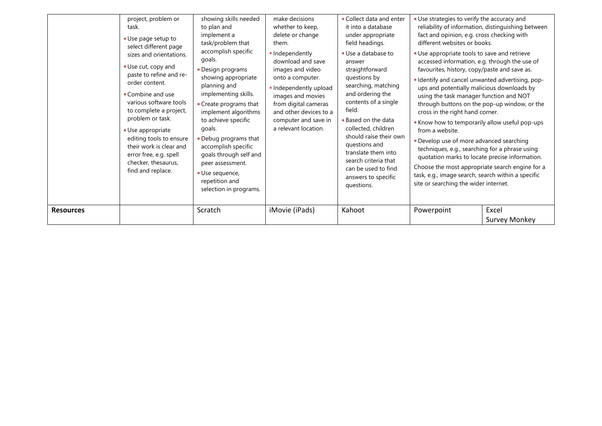| project, problem or<br>task.<br>Use page setup to<br>select different page<br>sizes and orientations.<br>Use cut, copy and<br>paste to refine and re-<br>order content.<br>Combine and use<br>various software tools<br>to complete a project,<br>problem or task.<br>■ Use appropriate<br>editing tools to ensure<br>their work is clear and<br>error free, e.g. spell<br>checker, thesaurus,<br>find and replace.<br><b>Resources</b> | showing skills needed<br>to plan and<br>implement a<br>task/problem that<br>accomplish specific<br>goals.<br>Design programs<br>showing appropriate<br>planning and<br>implementing skills.<br>• Create programs that<br>implement algorithms<br>to achieve specific<br>goals.<br>• Debug programs that<br>accomplish specific<br>goals through self and<br>peer assessment.<br>Use sequence,<br>repetition and<br>selection in programs.<br>Scratch | make decisions<br>whether to keep,<br>delete or change<br>them.<br>· Independently<br>download and save<br>images and video<br>onto a computer.<br>. Independently upload<br>images and movies<br>from digital cameras<br>and other devices to a<br>computer and save in<br>a relevant location.<br>iMovie (iPads) | Collect data and enter<br>it into a database<br>under appropriate<br>field headings.<br>■ Use a database to<br>answer<br>straightforward<br>questions by<br>searching, matching<br>and ordering the<br>contents of a single<br>field.<br>■ Based on the data<br>collected, children<br>should raise their own<br>questions and<br>translate them into<br>search criteria that<br>can be used to find<br>answers to specific<br>questions.<br>Kahoot | Use strategies to verify the accuracy and<br>fact and opinion, e.g. cross checking with<br>different websites or books.<br>Use appropriate tools to save and retrieve<br>accessed information, e.g. through the use of<br>favourites, history, copy/paste and save as.<br>- Identify and cancel unwanted advertising, pop-<br>ups and potentially malicious downloads by<br>using the task manager function and NOT<br>through buttons on the pop-up window, or the<br>cross in the right hand corner.<br>Know how to temporarily allow useful pop-ups<br>from a website.<br>Develop use of more advanced searching<br>techniques, e.g., searching for a phrase using<br>quotation marks to locate precise information.<br>Choose the most appropriate search engine for a<br>task, e.g., image search, search within a specific<br>site or searching the wider internet.<br>Powerpoint | reliability of information, distinguishing between<br>Excel |
|-----------------------------------------------------------------------------------------------------------------------------------------------------------------------------------------------------------------------------------------------------------------------------------------------------------------------------------------------------------------------------------------------------------------------------------------|------------------------------------------------------------------------------------------------------------------------------------------------------------------------------------------------------------------------------------------------------------------------------------------------------------------------------------------------------------------------------------------------------------------------------------------------------|--------------------------------------------------------------------------------------------------------------------------------------------------------------------------------------------------------------------------------------------------------------------------------------------------------------------|-----------------------------------------------------------------------------------------------------------------------------------------------------------------------------------------------------------------------------------------------------------------------------------------------------------------------------------------------------------------------------------------------------------------------------------------------------|-----------------------------------------------------------------------------------------------------------------------------------------------------------------------------------------------------------------------------------------------------------------------------------------------------------------------------------------------------------------------------------------------------------------------------------------------------------------------------------------------------------------------------------------------------------------------------------------------------------------------------------------------------------------------------------------------------------------------------------------------------------------------------------------------------------------------------------------------------------------------------------------|-------------------------------------------------------------|
|                                                                                                                                                                                                                                                                                                                                                                                                                                         |                                                                                                                                                                                                                                                                                                                                                                                                                                                      |                                                                                                                                                                                                                                                                                                                    |                                                                                                                                                                                                                                                                                                                                                                                                                                                     |                                                                                                                                                                                                                                                                                                                                                                                                                                                                                                                                                                                                                                                                                                                                                                                                                                                                                         | <b>Survey Monkey</b>                                        |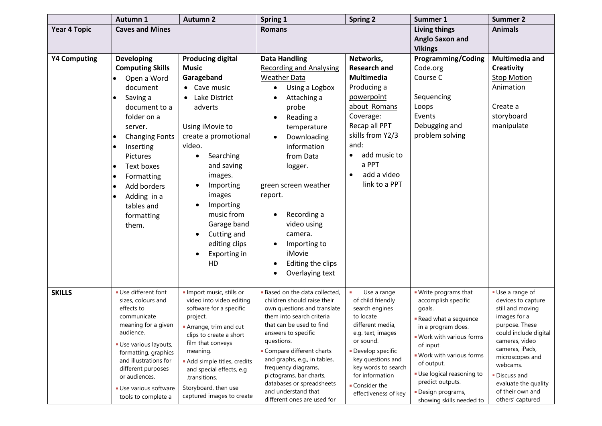|                     | Autumn 1                                                                                                                                                                                                                                                                                                                                             | <b>Autumn 2</b>                                                                                                                                                                                                                                                                                                                   | Spring 1                                                                                                                                                                                                                                                                                                                                                            | <b>Spring 2</b>                                                                                                                                                                                                                                    | Summer 1                                                                                                                                                                                                                                                        | <b>Summer 2</b>                                                                                                                                                                                                                                      |
|---------------------|------------------------------------------------------------------------------------------------------------------------------------------------------------------------------------------------------------------------------------------------------------------------------------------------------------------------------------------------------|-----------------------------------------------------------------------------------------------------------------------------------------------------------------------------------------------------------------------------------------------------------------------------------------------------------------------------------|---------------------------------------------------------------------------------------------------------------------------------------------------------------------------------------------------------------------------------------------------------------------------------------------------------------------------------------------------------------------|----------------------------------------------------------------------------------------------------------------------------------------------------------------------------------------------------------------------------------------------------|-----------------------------------------------------------------------------------------------------------------------------------------------------------------------------------------------------------------------------------------------------------------|------------------------------------------------------------------------------------------------------------------------------------------------------------------------------------------------------------------------------------------------------|
| <b>Year 4 Topic</b> | <b>Caves and Mines</b>                                                                                                                                                                                                                                                                                                                               |                                                                                                                                                                                                                                                                                                                                   | <b>Romans</b>                                                                                                                                                                                                                                                                                                                                                       |                                                                                                                                                                                                                                                    | <b>Living things</b><br><b>Anglo Saxon and</b>                                                                                                                                                                                                                  | <b>Animals</b>                                                                                                                                                                                                                                       |
|                     |                                                                                                                                                                                                                                                                                                                                                      |                                                                                                                                                                                                                                                                                                                                   |                                                                                                                                                                                                                                                                                                                                                                     |                                                                                                                                                                                                                                                    | <b>Vikings</b>                                                                                                                                                                                                                                                  |                                                                                                                                                                                                                                                      |
| <b>Y4 Computing</b> | <b>Developing</b><br><b>Computing Skills</b><br>Open a Word<br>document<br>Saving a<br>$\bullet$<br>document to a<br>folder on a<br>server.<br><b>Changing Fonts</b><br>$\bullet$<br>Inserting<br>٠<br><b>Pictures</b><br>Text boxes<br>$\bullet$<br>Formatting<br>٠<br>Add borders<br>Adding in a<br>$\bullet$<br>tables and<br>formatting<br>them. | <b>Producing digital</b><br><b>Music</b><br>Garageband<br>• Cave music<br>Lake District<br>$\bullet$<br>adverts<br>Using iMovie to<br>create a promotional<br>video.<br>Searching<br>and saving<br>images.<br>Importing<br>images<br>Importing<br>music from<br>Garage band<br>Cutting and<br>editing clips<br>Exporting in<br>HD | <b>Data Handling</b><br><b>Recording and Analysing</b><br><b>Weather Data</b><br>Using a Logbox<br>Attaching a<br>probe<br>Reading a<br>temperature<br>Downloading<br>information<br>from Data<br>logger.<br>green screen weather<br>report.<br>Recording a<br>video using<br>camera.<br>Importing to<br>iMovie<br>Editing the clips<br>Overlaying text             | Networks,<br><b>Research and</b><br><b>Multimedia</b><br>Producing a<br>powerpoint<br>about Romans<br>Coverage:<br>Recap all PPT<br>skills from Y2/3<br>and:<br>add music to<br>$\bullet$<br>a PPT<br>add a video<br>$\bullet$<br>link to a PPT    | <b>Programming/Coding</b><br>Code.org<br>Course C<br>Sequencing<br>Loops<br>Events<br>Debugging and<br>problem solving                                                                                                                                          | Multimedia and<br><b>Creativity</b><br><b>Stop Motion</b><br>Animation<br>Create a<br>storyboard<br>manipulate                                                                                                                                       |
| <b>SKILLS</b>       | Use different font<br>sizes, colours and<br>effects to<br>communicate<br>meaning for a given<br>audience.<br>Use various layouts,<br>formatting, graphics<br>and illustrations for<br>different purposes<br>or audiences.<br>Use various software<br>tools to complete a                                                                             | · Import music, stills or<br>video into video editing<br>software for a specific<br>project.<br>Arrange, trim and cut<br>clips to create a short<br>film that conveys<br>meaning.<br>Add simple titles, credits<br>and special effects, e.g<br>.transitions.<br>Storyboard, then use<br>captured images to create                 | <b>Based on the data collected,</b><br>children should raise their<br>own questions and translate<br>them into search criteria<br>that can be used to find<br>answers to specific<br>questions.<br>• Compare different charts<br>and graphs, e.g., in tables,<br>frequency diagrams,<br>pictograms, bar charts,<br>databases or spreadsheets<br>and understand that | Use a range<br>of child friendly<br>search engines<br>to locate<br>different media,<br>e.g. text, images<br>or sound.<br>Develop specific<br>key questions and<br>key words to search<br>for information<br>■ Consider the<br>effectiveness of key | . Write programs that<br>accomplish specific<br>goals.<br>Read what a sequence<br>in a program does.<br>. Work with various forms<br>of input.<br>. Work with various forms<br>of output.<br>Use logical reasoning to<br>predict outputs.<br>· Design programs, | Use a range of<br>devices to capture<br>still and moving<br>images for a<br>purpose. These<br>could include digital<br>cameras, video<br>cameras, iPads,<br>microscopes and<br>webcams.<br>· Discuss and<br>evaluate the quality<br>of their own and |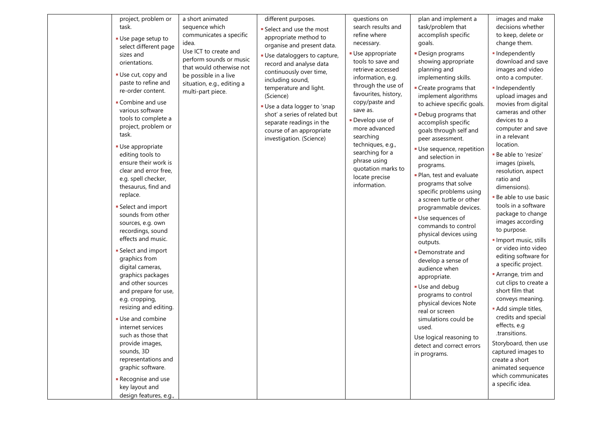| project, problem or<br>task.<br>Use page setup to<br>select different page<br>sizes and<br>orientations.<br>Use cut, copy and<br>paste to refine and<br>re-order content.<br>Combine and use<br>various software<br>tools to complete a<br>project, problem or<br>task.<br>Use appropriate<br>editing tools to<br>ensure their work is<br>clear and error free,<br>e.g. spell checker,<br>thesaurus, find and<br>replace.<br>Select and import<br>sounds from other<br>sources, e.g. own<br>recordings, sound<br>effects and music.<br>Select and import<br>graphics from<br>digital cameras,<br>graphics packages<br>and other sources<br>and prepare for use,<br>e.g. cropping,<br>resizing and editing.<br>Use and combine<br>internet services<br>such as those that<br>provide images,<br>sounds, 3D<br>representations and<br>graphic software.<br>Recognise and use<br>key layout and<br>design features, e.g., | a short animated<br>sequence which<br>communicates a specific<br>idea.<br>Use ICT to create and<br>perform sounds or music<br>that would otherwise not<br>be possible in a live<br>situation, e.g., editing a<br>multi-part piece. | different purposes.<br>Select and use the most<br>appropriate method to<br>organise and present data.<br>Use dataloggers to capture,<br>record and analyse data<br>continuously over time,<br>including sound,<br>temperature and light.<br>(Science)<br>Use a data logger to 'snap<br>shot' a series of related but<br>separate readings in the<br>course of an appropriate<br>investigation. (Science) | questions on<br>search results and<br>refine where<br>necessary.<br>Use appropriate<br>tools to save and<br>retrieve accessed<br>information, e.g.<br>through the use of<br>favourites, history,<br>copy/paste and<br>save as.<br>Develop use of<br>more advanced<br>searching<br>techniques, e.g.,<br>searching for a<br>phrase using<br>quotation marks to<br>locate precise<br>information. | plan and implement a<br>task/problem that<br>accomplish specific<br>goals.<br>Design programs<br>showing appropriate<br>planning and<br>implementing skills.<br>• Create programs that<br>implement algorithms<br>to achieve specific goals.<br>. Debug programs that<br>accomplish specific<br>goals through self and<br>peer assessment.<br>· Use sequence, repetition<br>and selection in<br>programs.<br>· Plan, test and evaluate<br>programs that solve<br>specific problems using<br>a screen turtle or other<br>programmable devices.<br>Use sequences of<br>commands to control<br>physical devices using<br>outputs.<br>Demonstrate and<br>develop a sense of<br>audience when<br>appropriate.<br>Use and debug<br>programs to control<br>physical devices Note<br>real or screen<br>simulations could be<br>used.<br>Use logical reasoning to<br>detect and correct errors<br>in programs. | images and make<br>decisions whether<br>to keep, delete or<br>change them.<br>· Independently<br>download and save<br>images and video<br>onto a computer.<br>· Independently<br>upload images and<br>movies from digital<br>cameras and other<br>devices to a<br>computer and save<br>in a relevant<br>location.<br><b>Be able to 'resize'</b><br>images (pixels,<br>resolution, aspect<br>ratio and<br>dimensions).<br><b>Be able to use basic</b><br>tools in a software<br>package to change<br>images according<br>to purpose.<br>· Import music, stills<br>or video into video<br>editing software for<br>a specific project.<br>Arrange, trim and<br>cut clips to create a<br>short film that<br>conveys meaning.<br>· Add simple titles,<br>credits and special<br>effects, e.g<br>.transitions.<br>Storyboard, then use<br>captured images to<br>create a short<br>animated sequence<br>which communicates<br>a specific idea. |
|------------------------------------------------------------------------------------------------------------------------------------------------------------------------------------------------------------------------------------------------------------------------------------------------------------------------------------------------------------------------------------------------------------------------------------------------------------------------------------------------------------------------------------------------------------------------------------------------------------------------------------------------------------------------------------------------------------------------------------------------------------------------------------------------------------------------------------------------------------------------------------------------------------------------|------------------------------------------------------------------------------------------------------------------------------------------------------------------------------------------------------------------------------------|----------------------------------------------------------------------------------------------------------------------------------------------------------------------------------------------------------------------------------------------------------------------------------------------------------------------------------------------------------------------------------------------------------|------------------------------------------------------------------------------------------------------------------------------------------------------------------------------------------------------------------------------------------------------------------------------------------------------------------------------------------------------------------------------------------------|-------------------------------------------------------------------------------------------------------------------------------------------------------------------------------------------------------------------------------------------------------------------------------------------------------------------------------------------------------------------------------------------------------------------------------------------------------------------------------------------------------------------------------------------------------------------------------------------------------------------------------------------------------------------------------------------------------------------------------------------------------------------------------------------------------------------------------------------------------------------------------------------------------|-----------------------------------------------------------------------------------------------------------------------------------------------------------------------------------------------------------------------------------------------------------------------------------------------------------------------------------------------------------------------------------------------------------------------------------------------------------------------------------------------------------------------------------------------------------------------------------------------------------------------------------------------------------------------------------------------------------------------------------------------------------------------------------------------------------------------------------------------------------------------------------------------------------------------------------------|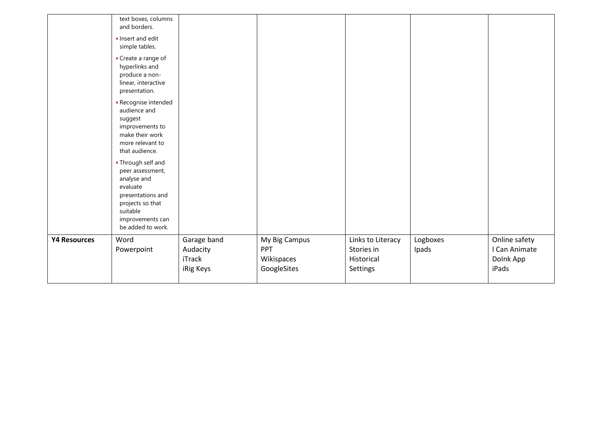|                     | text boxes, columns<br>and borders.                                                                                                                             |                                                |                                                          |                                                           |                   |                                                      |
|---------------------|-----------------------------------------------------------------------------------------------------------------------------------------------------------------|------------------------------------------------|----------------------------------------------------------|-----------------------------------------------------------|-------------------|------------------------------------------------------|
|                     | Insert and edit<br>simple tables.                                                                                                                               |                                                |                                                          |                                                           |                   |                                                      |
|                     | ■ Create a range of<br>hyperlinks and<br>produce a non-<br>linear, interactive<br>presentation.                                                                 |                                                |                                                          |                                                           |                   |                                                      |
|                     | Recognise intended<br>audience and<br>suggest<br>improvements to<br>make their work<br>more relevant to<br>that audience.                                       |                                                |                                                          |                                                           |                   |                                                      |
|                     | ■ Through self and<br>peer assessment,<br>analyse and<br>evaluate<br>presentations and<br>projects so that<br>suitable<br>improvements can<br>be added to work. |                                                |                                                          |                                                           |                   |                                                      |
| <b>Y4 Resources</b> | Word<br>Powerpoint                                                                                                                                              | Garage band<br>Audacity<br>iTrack<br>iRig Keys | My Big Campus<br><b>PPT</b><br>Wikispaces<br>GoogleSites | Links to Literacy<br>Stories in<br>Historical<br>Settings | Logboxes<br>Ipads | Online safety<br>I Can Animate<br>Dolnk App<br>iPads |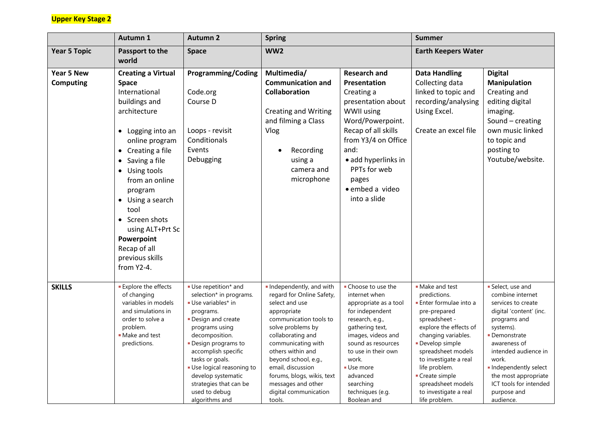## **Upper Key Stage 2**

|                                | Autumn 1                                                                                                                                                                                                                                                                                                                                                             | <b>Autumn 2</b>                                                                                                                                                                                                                                                                                                          | <b>Spring</b>                                                                                                                                                                                                                                                                                                                            |                                                                                                                                                                                                                                                                            | <b>Summer</b>                                                                                                                                                                                                                                                                                                 |                                                                                                                                                                                                                                                                                           |
|--------------------------------|----------------------------------------------------------------------------------------------------------------------------------------------------------------------------------------------------------------------------------------------------------------------------------------------------------------------------------------------------------------------|--------------------------------------------------------------------------------------------------------------------------------------------------------------------------------------------------------------------------------------------------------------------------------------------------------------------------|------------------------------------------------------------------------------------------------------------------------------------------------------------------------------------------------------------------------------------------------------------------------------------------------------------------------------------------|----------------------------------------------------------------------------------------------------------------------------------------------------------------------------------------------------------------------------------------------------------------------------|---------------------------------------------------------------------------------------------------------------------------------------------------------------------------------------------------------------------------------------------------------------------------------------------------------------|-------------------------------------------------------------------------------------------------------------------------------------------------------------------------------------------------------------------------------------------------------------------------------------------|
| <b>Year 5 Topic</b>            | Passport to the<br>world                                                                                                                                                                                                                                                                                                                                             | <b>Space</b>                                                                                                                                                                                                                                                                                                             | WW <sub>2</sub>                                                                                                                                                                                                                                                                                                                          |                                                                                                                                                                                                                                                                            | <b>Earth Keepers Water</b>                                                                                                                                                                                                                                                                                    |                                                                                                                                                                                                                                                                                           |
| <b>Year 5 New</b><br>Computing | <b>Creating a Virtual</b><br><b>Space</b><br>International<br>buildings and<br>architecture<br>• Logging into an<br>online program<br>Creating a file<br>$\bullet$<br>• Saving a file<br>• Using tools<br>from an online<br>program<br>• Using a search<br>tool<br>• Screen shots<br>using ALT+Prt Sc<br>Powerpoint<br>Recap of all<br>previous skills<br>from Y2-4. | <b>Programming/Coding</b><br>Code.org<br>Course D<br>Loops - revisit<br>Conditionals<br>Events<br>Debugging                                                                                                                                                                                                              | Multimedia/<br><b>Communication and</b><br><b>Collaboration</b><br><b>Creating and Writing</b><br>and filming a Class<br>Vlog<br>Recording<br>using a<br>camera and<br>microphone                                                                                                                                                        | <b>Research and</b><br>Presentation<br>Creating a<br>presentation about<br>WWII using<br>Word/Powerpoint.<br>Recap of all skills<br>from Y3/4 on Office<br>and:<br>· add hyperlinks in<br>PPTs for web<br>pages<br>· embed a video<br>into a slide                         | <b>Data Handling</b><br>Collecting data<br>linked to topic and<br>recording/analysing<br>Using Excel.<br>Create an excel file                                                                                                                                                                                 | <b>Digital</b><br><b>Manipulation</b><br>Creating and<br>editing digital<br>imaging.<br>Sound - creating<br>own music linked<br>to topic and<br>posting to<br>Youtube/website.                                                                                                            |
| <b>SKILLS</b>                  | <b>Explore the effects</b><br>of changing<br>variables in models<br>and simulations in<br>order to solve a<br>problem.<br>• Make and test<br>predictions.                                                                                                                                                                                                            | Use repetition* and<br>selection* in programs.<br>Use variables* in<br>programs.<br>Design and create<br>programs using<br>decomposition.<br>Design programs to<br>accomplish specific<br>tasks or goals.<br>Use logical reasoning to<br>develop systematic<br>strategies that can be<br>used to debug<br>algorithms and | Independently, and with<br>regard for Online Safety,<br>select and use<br>appropriate<br>communication tools to<br>solve problems by<br>collaborating and<br>communicating with<br>others within and<br>beyond school, e.g.,<br>email, discussion<br>forums, blogs, wikis, text<br>messages and other<br>digital communication<br>tools. | - Choose to use the<br>internet when<br>appropriate as a tool<br>for independent<br>research, e.g.,<br>gathering text,<br>images, videos and<br>sound as resources<br>to use in their own<br>work.<br>Use more<br>advanced<br>searching<br>techniques (e.g.<br>Boolean and | • Make and test<br>predictions.<br>Enter formulae into a<br>pre-prepared<br>spreadsheet -<br>explore the effects of<br>changing variables.<br>Develop simple<br>spreadsheet models<br>to investigate a real<br>life problem.<br>Create simple<br>spreadsheet models<br>to investigate a real<br>life problem. | Select, use and<br>combine internet<br>services to create<br>digital 'content' (inc.<br>programs and<br>systems).<br>• Demonstrate<br>awareness of<br>intended audience in<br>work.<br>Independently select<br>the most appropriate<br>ICT tools for intended<br>purpose and<br>audience. |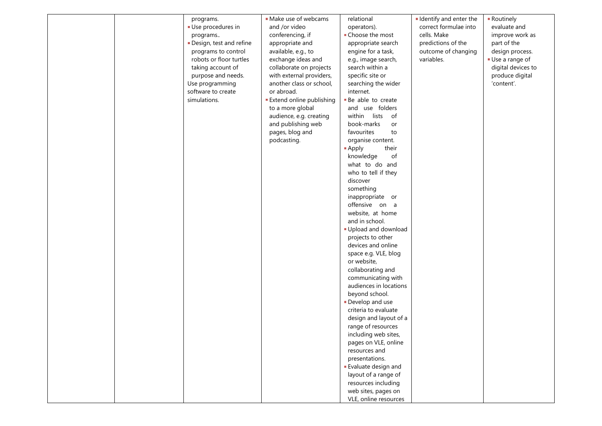|  | programs.               | · Make use of webcams           | relational                 | I Identify and enter the | - Routinely        |
|--|-------------------------|---------------------------------|----------------------------|--------------------------|--------------------|
|  | Use procedures in       | and /or video                   | operators).                | correct formulae into    | evaluate and       |
|  | programs                | conferencing, if                | • Choose the most          | cells. Make              | improve work as    |
|  | Design, test and refine | appropriate and                 | appropriate search         | predictions of the       | part of the        |
|  | programs to control     | available, e.g., to             | engine for a task,         | outcome of changing      | design process.    |
|  | robots or floor turtles | exchange ideas and              | e.g., image search,        | variables.               | Use a range of     |
|  | taking account of       | collaborate on projects         | search within a            |                          | digital devices to |
|  | purpose and needs.      | with external providers,        | specific site or           |                          | produce digital    |
|  | Use programming         | another class or school,        | searching the wider        |                          | 'content'.         |
|  | software to create      | or abroad.                      | internet.                  |                          |                    |
|  | simulations.            | <b>Extend online publishing</b> | - Be able to create        |                          |                    |
|  |                         | to a more global                | and use folders            |                          |                    |
|  |                         | audience, e.g. creating         | within lists<br>of         |                          |                    |
|  |                         | and publishing web              | book-marks<br>or           |                          |                    |
|  |                         | pages, blog and                 | favourites<br>to           |                          |                    |
|  |                         | podcasting.                     | organise content.          |                          |                    |
|  |                         |                                 |                            |                          |                    |
|  |                         |                                 | their<br><b>Apply</b>      |                          |                    |
|  |                         |                                 | knowledge<br>of            |                          |                    |
|  |                         |                                 | what to do and             |                          |                    |
|  |                         |                                 | who to tell if they        |                          |                    |
|  |                         |                                 | discover                   |                          |                    |
|  |                         |                                 | something                  |                          |                    |
|  |                         |                                 | inappropriate or           |                          |                    |
|  |                         |                                 | offensive on a             |                          |                    |
|  |                         |                                 | website, at home           |                          |                    |
|  |                         |                                 | and in school.             |                          |                    |
|  |                         |                                 | Upload and download        |                          |                    |
|  |                         |                                 | projects to other          |                          |                    |
|  |                         |                                 | devices and online         |                          |                    |
|  |                         |                                 | space e.g. VLE, blog       |                          |                    |
|  |                         |                                 | or website,                |                          |                    |
|  |                         |                                 | collaborating and          |                          |                    |
|  |                         |                                 | communicating with         |                          |                    |
|  |                         |                                 | audiences in locations     |                          |                    |
|  |                         |                                 | beyond school.             |                          |                    |
|  |                         |                                 | Develop and use            |                          |                    |
|  |                         |                                 | criteria to evaluate       |                          |                    |
|  |                         |                                 |                            |                          |                    |
|  |                         |                                 | design and layout of a     |                          |                    |
|  |                         |                                 | range of resources         |                          |                    |
|  |                         |                                 | including web sites,       |                          |                    |
|  |                         |                                 | pages on VLE, online       |                          |                    |
|  |                         |                                 | resources and              |                          |                    |
|  |                         |                                 | presentations.             |                          |                    |
|  |                         |                                 | <b>Evaluate design and</b> |                          |                    |
|  |                         |                                 | layout of a range of       |                          |                    |
|  |                         |                                 | resources including        |                          |                    |
|  |                         |                                 | web sites, pages on        |                          |                    |
|  |                         |                                 | VLE, online resources      |                          |                    |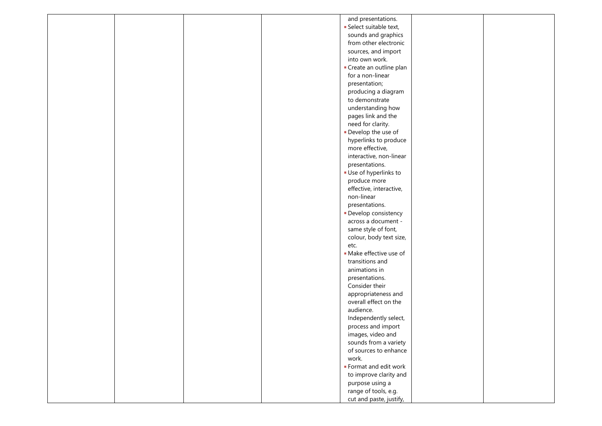| and presentations.                         |
|--------------------------------------------|
| Select suitable text,                      |
| sounds and graphics                        |
| from other electronic                      |
| sources, and import                        |
| into own work.                             |
|                                            |
| Create an outline plan<br>for a non-linear |
|                                            |
| presentation;                              |
| producing a diagram                        |
| to demonstrate                             |
| understanding how                          |
| pages link and the                         |
| need for clarity.                          |
| Develop the use of                         |
| hyperlinks to produce                      |
| more effective,                            |
| interactive, non-linear                    |
| presentations.                             |
| Use of hyperlinks to                       |
| produce more                               |
| effective, interactive,                    |
| non-linear                                 |
| presentations.                             |
| • Develop consistency                      |
| across a document -                        |
| same style of font,                        |
| colour, body text size,                    |
| etc.                                       |
| · Make effective use of                    |
| transitions and                            |
| animations in                              |
| presentations.                             |
| Consider their                             |
| appropriateness and                        |
| overall effect on the                      |
| audience.                                  |
| Independently select,                      |
| process and import                         |
| images, video and                          |
| sounds from a variety                      |
| of sources to enhance                      |
| work.                                      |
| ■ Format and edit work                     |
| to improve clarity and                     |
| purpose using a                            |
| range of tools, e.g.                       |
| cut and paste, justify,                    |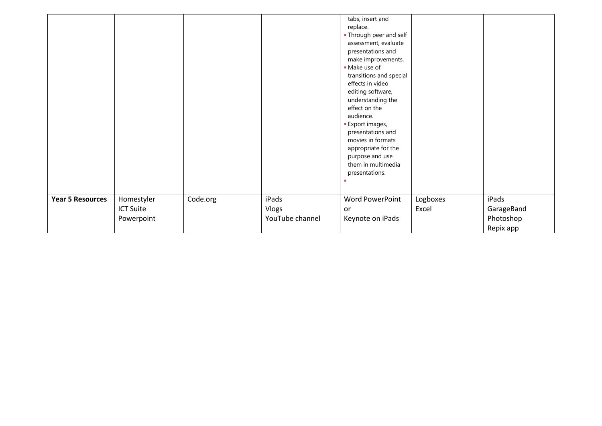|                         |                                              |          |                                   | tabs, insert and<br>replace.<br><b>- Through peer and self</b><br>assessment, evaluate<br>presentations and<br>make improvements.<br>Make use of<br>transitions and special<br>effects in video<br>editing software,<br>understanding the<br>effect on the<br>audience.<br><b>Export images,</b><br>presentations and<br>movies in formats<br>appropriate for the<br>purpose and use |                   |                                  |
|-------------------------|----------------------------------------------|----------|-----------------------------------|--------------------------------------------------------------------------------------------------------------------------------------------------------------------------------------------------------------------------------------------------------------------------------------------------------------------------------------------------------------------------------------|-------------------|----------------------------------|
|                         |                                              |          |                                   | them in multimedia<br>presentations.                                                                                                                                                                                                                                                                                                                                                 |                   |                                  |
| <b>Year 5 Resources</b> | Homestyler<br><b>ICT Suite</b><br>Powerpoint | Code.org | iPads<br>Vlogs<br>YouTube channel | Word PowerPoint<br>or<br>Keynote on iPads                                                                                                                                                                                                                                                                                                                                            | Logboxes<br>Excel | iPads<br>GarageBand<br>Photoshop |
|                         |                                              |          |                                   |                                                                                                                                                                                                                                                                                                                                                                                      |                   | Repix app                        |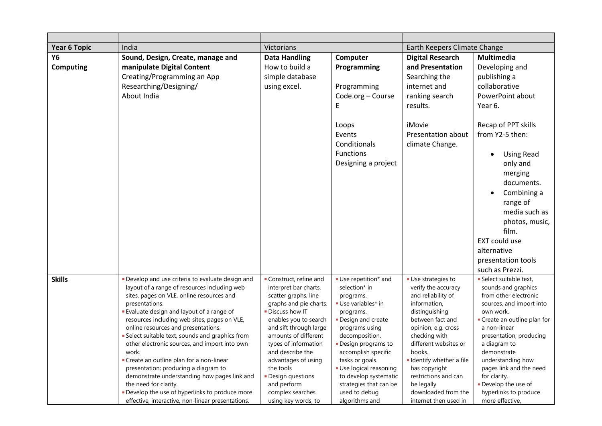| <b>Year 6 Topic</b> | India                                                                 | <b>Victorians</b>                              |                                                 | Earth Keepers Climate Change       |                                                   |
|---------------------|-----------------------------------------------------------------------|------------------------------------------------|-------------------------------------------------|------------------------------------|---------------------------------------------------|
| Y6                  | Sound, Design, Create, manage and                                     | <b>Data Handling</b>                           | Computer                                        | <b>Digital Research</b>            | Multimedia                                        |
| <b>Computing</b>    | manipulate Digital Content                                            | How to build a                                 | Programming                                     | and Presentation                   | Developing and                                    |
|                     | Creating/Programming an App                                           | simple database                                |                                                 | Searching the                      | publishing a                                      |
|                     | Researching/Designing/                                                | using excel.                                   | Programming                                     | internet and                       | collaborative                                     |
|                     | About India                                                           |                                                | Code.org - Course                               | ranking search                     | PowerPoint about                                  |
|                     |                                                                       |                                                | E                                               | results.                           | Year 6.                                           |
|                     |                                                                       |                                                |                                                 |                                    |                                                   |
|                     |                                                                       |                                                | Loops                                           | iMovie                             | Recap of PPT skills                               |
|                     |                                                                       |                                                | Events                                          | <b>Presentation about</b>          | from Y2-5 then:                                   |
|                     |                                                                       |                                                | Conditionals                                    | climate Change.                    |                                                   |
|                     |                                                                       |                                                | <b>Functions</b>                                |                                    | <b>Using Read</b>                                 |
|                     |                                                                       |                                                | Designing a project                             |                                    | only and                                          |
|                     |                                                                       |                                                |                                                 |                                    | merging                                           |
|                     |                                                                       |                                                |                                                 |                                    | documents.                                        |
|                     |                                                                       |                                                |                                                 |                                    | Combining a<br>$\bullet$                          |
|                     |                                                                       |                                                |                                                 |                                    | range of                                          |
|                     |                                                                       |                                                |                                                 |                                    | media such as                                     |
|                     |                                                                       |                                                |                                                 |                                    |                                                   |
|                     |                                                                       |                                                |                                                 |                                    | photos, music,                                    |
|                     |                                                                       |                                                |                                                 |                                    | film.                                             |
|                     |                                                                       |                                                |                                                 |                                    | EXT could use                                     |
|                     |                                                                       |                                                |                                                 |                                    | alternative                                       |
|                     |                                                                       |                                                |                                                 |                                    | presentation tools                                |
|                     |                                                                       |                                                |                                                 |                                    | such as Prezzi.                                   |
| <b>Skills</b>       | Develop and use criteria to evaluate design and                       | Construct, refine and                          | Use repetition* and                             | Use strategies to                  | Select suitable text,                             |
|                     | layout of a range of resources including web                          | interpret bar charts,                          | selection* in                                   | verify the accuracy                | sounds and graphics                               |
|                     | sites, pages on VLE, online resources and<br>presentations.           | scatter graphs, line<br>graphs and pie charts. | programs.<br>Use variables* in                  | and reliability of<br>information, | from other electronic<br>sources, and import into |
|                     | <b>Evaluate design and layout of a range of</b>                       | Discuss how IT                                 | programs.                                       | distinguishing                     | own work.                                         |
|                     | resources including web sites, pages on VLE,                          | enables you to search                          | Design and create                               | between fact and                   | • Create an outline plan for                      |
|                     | online resources and presentations.                                   | and sift through large                         | programs using                                  | opinion, e.g. cross                | a non-linear                                      |
|                     | Select suitable text, sounds and graphics from                        | amounts of different                           | decomposition.                                  | checking with                      | presentation; producing                           |
|                     | other electronic sources, and import into own                         | types of information                           | - Design programs to                            | different websites or              | a diagram to                                      |
|                     | work.                                                                 | and describe the                               | accomplish specific                             | books.                             | demonstrate                                       |
|                     | • Create an outline plan for a non-linear                             | advantages of using                            | tasks or goals.                                 | I Identify whether a file          | understanding how                                 |
|                     | presentation; producing a diagram to                                  | the tools                                      | Use logical reasoning                           | has copyright                      | pages link and the need                           |
|                     | demonstrate understanding how pages link and<br>the need for clarity. | Design questions<br>and perform                | to develop systematic<br>strategies that can be | restrictions and can               | for clarity.<br>Develop the use of                |
|                     | Develop the use of hyperlinks to produce more                         | complex searches                               | used to debug                                   | be legally<br>downloaded from the  | hyperlinks to produce                             |
|                     | effective, interactive, non-linear presentations.                     | using key words, to                            | algorithms and                                  | internet then used in              | more effective,                                   |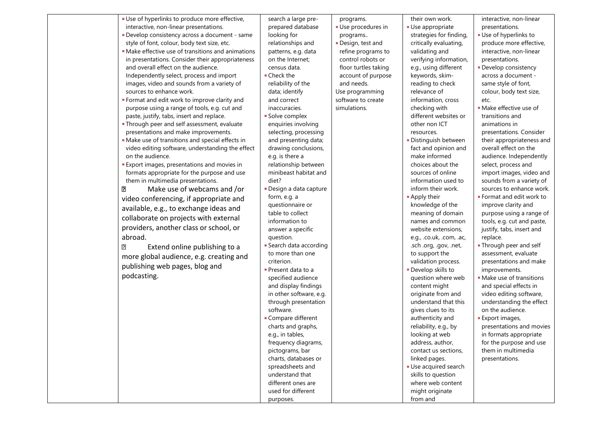| · Use of hyperlinks to produce more effective,     | search a large pre-     | programs.            | their own work.          | interactive, non-linear    |
|----------------------------------------------------|-------------------------|----------------------|--------------------------|----------------------------|
| interactive, non-linear presentations.             | prepared database       | Use procedures in    | Use appropriate          | presentations.             |
| Develop consistency across a document - same       | looking for             | programs             | strategies for finding,  | Use of hyperlinks to       |
| style of font, colour, body text size, etc.        | relationships and       | Design, test and     | critically evaluating,   | produce more effective,    |
| • Make effective use of transitions and animations | patterns, e.g. data     | refine programs to   | validating and           | interactive, non-linear    |
| in presentations. Consider their appropriateness   | on the Internet:        | control robots or    | verifying information,   | presentations.             |
| and overall effect on the audience.                | census data.            | floor turtles taking | e.g., using different    | · Develop consistency      |
| Independently select, process and import           | • Check the             | account of purpose   | keywords, skim-          | across a document -        |
| images, video and sounds from a variety of         | reliability of the      | and needs.           | reading to check         | same style of font,        |
| sources to enhance work.                           | data; identify          | Use programming      | relevance of             | colour, body text size,    |
| Format and edit work to improve clarity and        | and correct             | software to create   | information, cross       | etc.                       |
| purpose using a range of tools, e.g. cut and       | inaccuracies.           | simulations.         | checking with            | · Make effective use of    |
|                                                    |                         |                      |                          |                            |
| paste, justify, tabs, insert and replace.          | Solve complex           |                      | different websites or    | transitions and            |
| . Through peer and self assessment, evaluate       | enquiries involving     |                      | other non ICT            | animations in              |
| presentations and make improvements.               | selecting, processing   |                      | resources.               | presentations. Consider    |
| • Make use of transitions and special effects in   | and presenting data;    |                      | Distinguish between      | their appropriateness and  |
| video editing software, understanding the effect   | drawing conclusions,    |                      | fact and opinion and     | overall effect on the      |
| on the audience.                                   | e.g. is there a         |                      | make informed            | audience. Independently    |
| <b>Export images, presentations and movies in</b>  | relationship between    |                      | choices about the        | select, process and        |
| formats appropriate for the purpose and use        | minibeast habitat and   |                      | sources of online        | import images, video and   |
| them in multimedia presentations.                  | diet?                   |                      | information used to      | sounds from a variety of   |
| Make use of webcams and /or<br>⊡                   | - Design a data capture |                      | inform their work.       | sources to enhance work.   |
| video conferencing, if appropriate and             | form, e.g. a            |                      | Apply their              | ■ Format and edit work to  |
| available, e.g., to exchange ideas and             | questionnaire or        |                      | knowledge of the         | improve clarity and        |
|                                                    | table to collect        |                      | meaning of domain        | purpose using a range of   |
| collaborate on projects with external              | information to          |                      | names and common         | tools, e.g. cut and paste, |
| providers, another class or school, or             | answer a specific       |                      | website extensions,      | justify, tabs, insert and  |
| abroad.                                            | question.               |                      | e.g., .co.uk, .com, .ac, | replace.                   |
| Extend online publishing to a<br>⊡                 | • Search data according |                      | .sch .org, .gov, .net,   | . Through peer and self    |
| more global audience, e.g. creating and            | to more than one        |                      | to support the           | assessment, evaluate       |
|                                                    | criterion.              |                      | validation process.      | presentations and make     |
| publishing web pages, blog and                     | Present data to a       |                      | Develop skills to        | improvements.              |
| podcasting.                                        | specified audience      |                      | question where web       | • Make use of transitions  |
|                                                    | and display findings    |                      | content might            | and special effects in     |
|                                                    | in other software, e.g. |                      | originate from and       | video editing software,    |
|                                                    | through presentation    |                      | understand that this     | understanding the effect   |
|                                                    | software.               |                      | gives clues to its       | on the audience.           |
|                                                    | Compare different       |                      | authenticity and         | <b>Export images,</b>      |
|                                                    | charts and graphs,      |                      | reliability, e.g., by    | presentations and movies   |
|                                                    | e.g., in tables,        |                      | looking at web           | in formats appropriate     |
|                                                    | frequency diagrams,     |                      | address, author,         | for the purpose and use    |
|                                                    | pictograms, bar         |                      | contact us sections,     | them in multimedia         |
|                                                    |                         |                      |                          |                            |
|                                                    | charts, databases or    |                      | linked pages.            | presentations.             |
|                                                    | spreadsheets and        |                      | Use acquired search      |                            |
|                                                    | understand that         |                      | skills to question       |                            |
|                                                    | different ones are      |                      | where web content        |                            |
|                                                    | used for different      |                      | might originate          |                            |
|                                                    | purposes.               |                      | from and                 |                            |